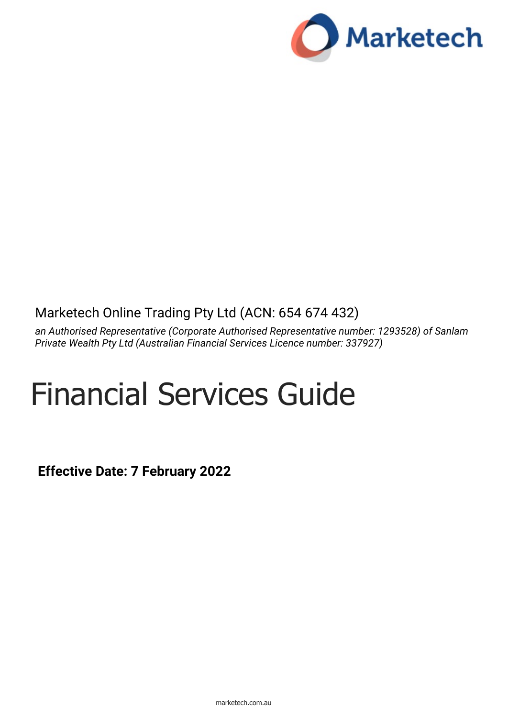

# Marketech Online Trading Pty Ltd (ACN: 654 674 432)

*an Authorised Representative (Corporate Authorised Representative number: 1293528) of Sanlam Private Wealth Pty Ltd (Australian Financial Services Licence number: 337927)* 

# Financial Services Guide

**Effective Date: 7 February 2022**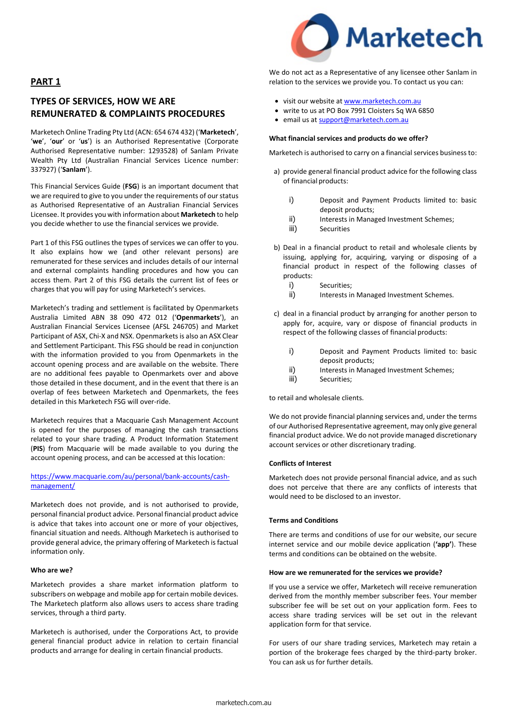

**PART 1**

# **TYPES OF SERVICES, HOW WE ARE REMUNERATED & COMPLAINTS PROCEDURES**

Marketech Online Trading Pty Ltd (ACN: 654 674 432) ('**Marketech**', '**we**', '**our**' or '**us**') is an Authorised Representative (Corporate Authorised Representative number: 1293528) of Sanlam Private Wealth Pty Ltd (Australian Financial Services Licence number: 337927) ('**Sanlam**').

This Financial Services Guide (**FSG**) is an important document that we are required to give to you under the requirements of our status as Authorised Representative of an Australian Financial Services Licensee. It provides you with information about **Marketech** to help you decide whether to use the financial services we provide.

Part 1 of this FSG outlines the types of services we can offer to you. It also explains how we (and other relevant persons) are remunerated for these services and includes details of our internal and external complaints handling procedures and how you can access them. Part 2 of this FSG details the current list of fees or charges that you will pay for using Marketech's services.

Marketech's trading and settlement is facilitated by Openmarkets Australia Limited ABN 38 090 472 012 ('**Openmarkets**'), an Australian Financial Services Licensee (AFSL 246705) and Market Participant of ASX, Chi-X and NSX. Openmarkets is also an ASX Clear and Settlement Participant. This FSG should be read in conjunction with the information provided to you from Openmarkets in the account opening process and are available on the website. There are no additional fees payable to Openmarkets over and above those detailed in these document, and in the event that there is an overlap of fees between Marketech and Openmarkets, the fees detailed in this Marketech FSG will over-ride.

Marketech requires that a Macquarie Cash Management Account is opened for the purposes of managing the cash transactions related to your share trading. A Product Information Statement (**PIS**) from Macquarie will be made available to you during the account opening process, and can be accessed at this location:

#### [https://www.macquarie.com/au/personal/bank-accounts/cash](https://www.macquarie.com/au/personal/bank-accounts/cash-management/)[management/](https://www.macquarie.com/au/personal/bank-accounts/cash-management/)

Marketech does not provide, and is not authorised to provide, personal financial product advice. Personal financial product advice is advice that takes into account one or more of your objectives, financial situation and needs. Although Marketech is authorised to provide general advice, the primary offering of Marketech is factual information only.

#### **Who are we?**

Marketech provides a share market information platform to subscribers on webpage and mobile app for certain mobile devices. The Marketech platform also allows users to access share trading services, through a third party.

Marketech is authorised, under the Corporations Act, to provide general financial product advice in relation to certain financial products and arrange for dealing in certain financial products.

We do not act as a Representative of any licensee other Sanlam in relation to the services we provide you. To contact us you can:

- visit our website at [www.marketech.com.au](http://www.marketech.com.au/)
- write to us at PO Box 7991 Cloisters Sq WA 6850
- email us at [support@marketech.com.au](mailto:support@marketech.com.au)

#### **What financial services and products do we offer?**

Marketech is authorised to carry on a financial services business to:

- a) provide general financial product advice for the following class of financial products:
	- i) Deposit and Payment Products limited to: basic deposit products;
	- ii) Interests in Managed Investment Schemes;<br>iii) Securities
	- Securities
- b) Deal in a financial product to retail and wholesale clients by issuing, applying for, acquiring, varying or disposing of a financial product in respect of the following classes of products:
	- i) Securities;
	- ii) Interests in Managed Investment Schemes.
- c) deal in a financial product by arranging for another person to apply for, acquire, vary or dispose of financial products in respect of the following classes of financial products:
	- i) Deposit and Payment Products limited to: basic deposit products;
	- ii) Interests in Managed Investment Schemes;
	- iii) Securities;

to retail and wholesale clients.

We do not provide financial planning services and, under the terms of our Authorised Representative agreement, may only give general financial product advice. We do not provide managed discretionary account services or other discretionary trading.

#### **Conflicts of Interest**

Marketech does not provide personal financial advice, and as such does not perceive that there are any conflicts of interests that would need to be disclosed to an investor.

#### **Terms and Conditions**

There are terms and conditions of use for our website, our secure internet service and our mobile device application (**'app'**). These terms and conditions can be obtained on the website.

#### **How are we remunerated for the services we provide?**

If you use a service we offer, Marketech will receive remuneration derived from the monthly member subscriber fees. Your member subscriber fee will be set out on your application form. Fees to access share trading services will be set out in the relevant application form for that service.

For users of our share trading services, Marketech may retain a portion of the brokerage fees charged by the third-party broker. You can ask us for further details.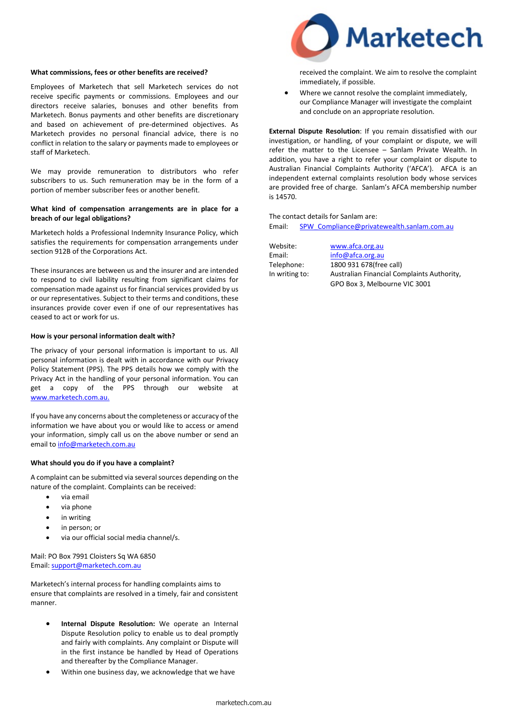#### **What commissions, fees or other benefits are received?**

Employees of Marketech that sell Marketech services do not receive specific payments or commissions. Employees and our directors receive salaries, bonuses and other benefits from Marketech. Bonus payments and other benefits are discretionary and based on achievement of pre-determined objectives. As Marketech provides no personal financial advice, there is no conflict in relation to the salary or payments made to employees or staff of Marketech.

We may provide remuneration to distributors who refer subscribers to us. Such remuneration may be in the form of a portion of member subscriber fees or another benefit.

#### **What kind of compensation arrangements are in place for a breach of our legal obligations?**

Marketech holds a Professional Indemnity Insurance Policy, which satisfies the requirements for compensation arrangements under section 912B of the Corporations Act.

These insurances are between us and the insurer and are intended to respond to civil liability resulting from significant claims for compensation made against us for financial services provided by us or our representatives. Subject to their terms and conditions, these insurances provide cover even if one of our representatives has ceased to act or work for us.

#### **How is your personal information dealt with?**

The privacy of your personal information is important to us. All personal information is dealt with in accordance with our Privacy Policy Statement (PPS). The PPS details how we comply with the Privacy Act in the handling of your personal information. You can get a copy of the PPS through our website at [www.marketech.com.au.](http://www.marketech.com.au./)

If you have any concerns about the completeness or accuracy of the information we have about you or would like to access or amend your information, simply call us on the above number or send an email to info@marketech.com.au

#### **What should you do if you have a complaint?**

A complaint can be submitted via several sources depending on the nature of the complaint. Complaints can be received:

- via email
- via phone
- in writing
- in person; or
- via our official social media channel/s.

Mail: PO Box 7991 Cloisters Sq WA 6850 Email[: support@marketech.com.au](mailto:support@marketech.com.au)

Marketech's internal process for handling complaints aims to ensure that complaints are resolved in a timely, fair and consistent manner.

- Internal Dispute Resolution: We operate an Internal Dispute Resolution policy to enable us to deal promptly and fairly with complaints. Any complaint or Dispute will in the first instance be handled by Head of Operations and thereafter by the Compliance Manager.
- Within one business day, we acknowledge that we have



received the complaint. We aim to resolve the complaint immediately, if possible.

Where we cannot resolve the complaint immediately. our Compliance Manager will investigate the complaint and conclude on an appropriate resolution.

**External Dispute Resolution**: If you remain dissatisfied with our investigation, or handling, of your complaint or dispute, we will refer the matter to the Licensee – Sanlam Private Wealth. In addition, you have a right to refer your complaint or dispute to Australian Financial Complaints Authority ('AFCA'). AFCA is an independent external complaints resolution body whose services are provided free of charge. Sanlam's AFCA membership number is 14570.

The contact details for Sanlam are: Email: [SPW\\_Compliance@privatewealth.sanlam.com.au](mailto:SPW_Compliance@privatewealth.sanlam.com.au)

Website: [www.afca.org.au](http://www.afca.org.au/)

Email: [info@afca.org.au](mailto:info@afca.org.au) Telephone: 1800 931 678(free call) In writing to: Australian Financial Complaints Authority, GPO Box 3, Melbourne VIC 3001